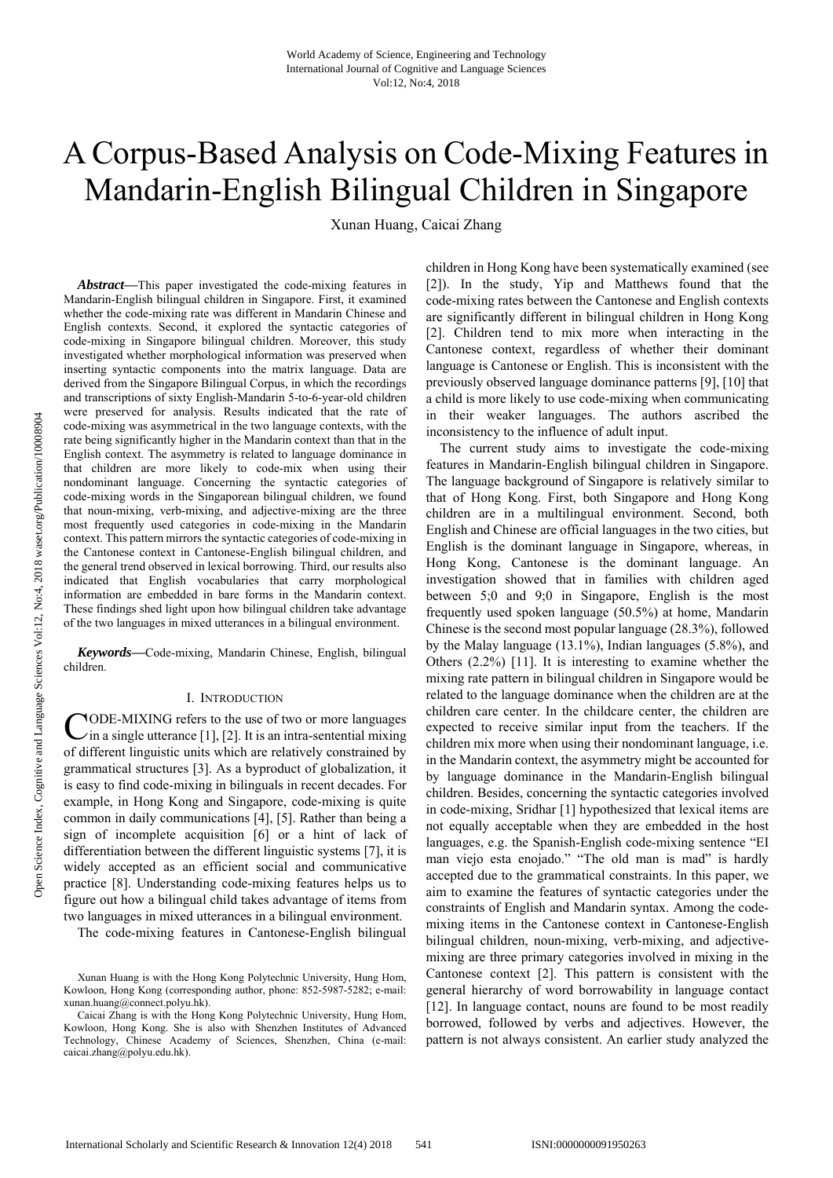# A Corpus-Based Analysis on Code-Mixing Features in Mandarin-English Bilingual Children in Singapore

Xunan Huang, Caicai Zhang

pen Science Index, Cognitive and Language Sciences Vol:12, No:4, 2018 waset.org/Publication/10008904 Open Science Index, Cognitive and Language Sciences Vol:12, No:4, 2018 waset.org/Publication/10008904

*Abstract***—**This paper investigated the code-mixing features in Mandarin-English bilingual children in Singapore. First, it examined whether the code-mixing rate was different in Mandarin Chinese and English contexts. Second, it explored the syntactic categories of code-mixing in Singapore bilingual children. Moreover, this study investigated whether morphological information was preserved when inserting syntactic components into the matrix language. Data are derived from the Singapore Bilingual Corpus, in which the recordings and transcriptions of sixty English-Mandarin 5-to-6-year-old children were preserved for analysis. Results indicated that the rate of code-mixing was asymmetrical in the two language contexts, with the rate being significantly higher in the Mandarin context than that in the English context. The asymmetry is related to language dominance in that children are more likely to code-mix when using their nondominant language. Concerning the syntactic categories of code-mixing words in the Singaporean bilingual children, we found that noun-mixing, verb-mixing, and adjective-mixing are the three most frequently used categories in code-mixing in the Mandarin context. This pattern mirrors the syntactic categories of code-mixing in the Cantonese context in Cantonese-English bilingual children, and the general trend observed in lexical borrowing. Third, our results also indicated that English vocabularies that carry morphological information are embedded in bare forms in the Mandarin context. These findings shed light upon how bilingual children take advantage of the two languages in mixed utterances in a bilingual environment.

*Keywords***—**Code-mixing, Mandarin Chinese, English, bilingual children.

#### I. INTRODUCTION

CODE-MIXING refers to the use of two or more languages<br>in a single utterance [1], [2]. It is an intra-sentential mixing  $i$ in a single utterance [1], [2]. It is an intra-sentential mixing of different linguistic units which are relatively constrained by grammatical structures [3]. As a byproduct of globalization, it is easy to find code-mixing in bilinguals in recent decades. For example, in Hong Kong and Singapore, code-mixing is quite common in daily communications [4], [5]. Rather than being a sign of incomplete acquisition [6] or a hint of lack of differentiation between the different linguistic systems [7], it is widely accepted as an efficient social and communicative practice [8]. Understanding code-mixing features helps us to figure out how a bilingual child takes advantage of items from two languages in mixed utterances in a bilingual environment.

The code-mixing features in Cantonese-English bilingual

Xunan Huang is with the Hong Kong Polytechnic University, Hung Hom, Kowloon, Hong Kong (corresponding author, phone: 852-5987-5282; e-mail: xunan.huang@connect.polyu.hk).

Caicai Zhang is with the Hong Kong Polytechnic University, Hung Hom, Kowloon, Hong Kong. She is also with Shenzhen Institutes of Advanced Technology, Chinese Academy of Sciences, Shenzhen, China (e-mail: caicai.zhang@polyu.edu.hk).

children in Hong Kong have been systematically examined (see [2]). In the study, Yip and Matthews found that the code-mixing rates between the Cantonese and English contexts are significantly different in bilingual children in Hong Kong [2]. Children tend to mix more when interacting in the Cantonese context, regardless of whether their dominant language is Cantonese or English. This is inconsistent with the previously observed language dominance patterns [9], [10] that a child is more likely to use code-mixing when communicating in their weaker languages. The authors ascribed the inconsistency to the influence of adult input.

The current study aims to investigate the code-mixing features in Mandarin-English bilingual children in Singapore. The language background of Singapore is relatively similar to that of Hong Kong. First, both Singapore and Hong Kong children are in a multilingual environment. Second, both English and Chinese are official languages in the two cities, but English is the dominant language in Singapore, whereas, in Hong Kong, Cantonese is the dominant language. An investigation showed that in families with children aged between 5;0 and 9;0 in Singapore, English is the most frequently used spoken language (50.5%) at home, Mandarin Chinese is the second most popular language (28.3%), followed by the Malay language (13.1%), Indian languages (5.8%), and Others (2.2%) [11]. It is interesting to examine whether the mixing rate pattern in bilingual children in Singapore would be related to the language dominance when the children are at the children care center. In the childcare center, the children are expected to receive similar input from the teachers. If the children mix more when using their nondominant language, i.e. in the Mandarin context, the asymmetry might be accounted for by language dominance in the Mandarin-English bilingual children. Besides, concerning the syntactic categories involved in code-mixing, Sridhar [1] hypothesized that lexical items are not equally acceptable when they are embedded in the host languages, e.g. the Spanish-English code-mixing sentence "EI man viejo esta enojado." "The old man is mad" is hardly accepted due to the grammatical constraints. In this paper, we aim to examine the features of syntactic categories under the constraints of English and Mandarin syntax. Among the codemixing items in the Cantonese context in Cantonese-English bilingual children, noun-mixing, verb-mixing, and adjectivemixing are three primary categories involved in mixing in the Cantonese context [2]. This pattern is consistent with the general hierarchy of word borrowability in language contact [12]. In language contact, nouns are found to be most readily borrowed, followed by verbs and adjectives. However, the pattern is not always consistent. An earlier study analyzed the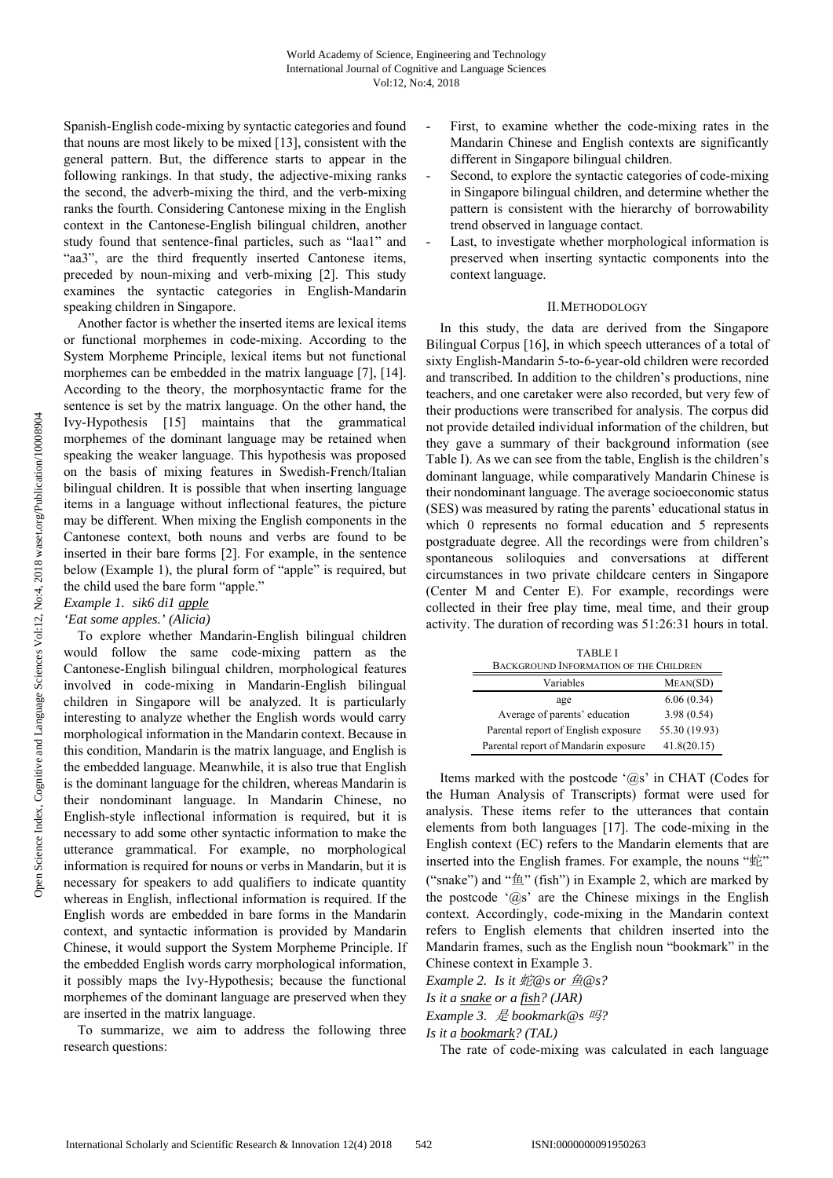Spanish-English code-mixing by syntactic categories and found that nouns are most likely to be mixed [13], consistent with the general pattern. But, the difference starts to appear in the following rankings. In that study, the adjective-mixing ranks the second, the adverb-mixing the third, and the verb-mixing ranks the fourth. Considering Cantonese mixing in the English context in the Cantonese-English bilingual children, another study found that sentence-final particles, such as "laa1" and "aa3", are the third frequently inserted Cantonese items, preceded by noun-mixing and verb-mixing [2]. This study examines the syntactic categories in English-Mandarin speaking children in Singapore.

Another factor is whether the inserted items are lexical items or functional morphemes in code-mixing. According to the System Morpheme Principle, lexical items but not functional morphemes can be embedded in the matrix language [7], [14]. According to the theory, the morphosyntactic frame for the sentence is set by the matrix language. On the other hand, the Ivy-Hypothesis [15] maintains that the grammatical morphemes of the dominant language may be retained when speaking the weaker language. This hypothesis was proposed on the basis of mixing features in Swedish-French/Italian bilingual children. It is possible that when inserting language items in a language without inflectional features, the picture may be different. When mixing the English components in the Cantonese context, both nouns and verbs are found to be inserted in their bare forms [2]. For example, in the sentence below (Example 1), the plural form of "apple" is required, but the child used the bare form "apple."

# *Example 1. sik6 di1 apple*

## *'Eat some apples.' (Alicia)*

To explore whether Mandarin-English bilingual children would follow the same code-mixing pattern as the Cantonese-English bilingual children, morphological features involved in code-mixing in Mandarin-English bilingual children in Singapore will be analyzed. It is particularly interesting to analyze whether the English words would carry morphological information in the Mandarin context. Because in this condition, Mandarin is the matrix language, and English is the embedded language. Meanwhile, it is also true that English is the dominant language for the children, whereas Mandarin is their nondominant language. In Mandarin Chinese, no English-style inflectional information is required, but it is necessary to add some other syntactic information to make the utterance grammatical. For example, no morphological information is required for nouns or verbs in Mandarin, but it is necessary for speakers to add qualifiers to indicate quantity whereas in English, inflectional information is required. If the English words are embedded in bare forms in the Mandarin context, and syntactic information is provided by Mandarin Chinese, it would support the System Morpheme Principle. If the embedded English words carry morphological information, it possibly maps the Ivy-Hypothesis; because the functional morphemes of the dominant language are preserved when they are inserted in the matrix language.

To summarize, we aim to address the following three research questions:

- First, to examine whether the code-mixing rates in the Mandarin Chinese and English contexts are significantly different in Singapore bilingual children.
- Second, to explore the syntactic categories of code-mixing in Singapore bilingual children, and determine whether the pattern is consistent with the hierarchy of borrowability trend observed in language contact.
- Last, to investigate whether morphological information is preserved when inserting syntactic components into the context language.

### II.METHODOLOGY

In this study, the data are derived from the Singapore Bilingual Corpus [16], in which speech utterances of a total of sixty English-Mandarin 5-to-6-year-old children were recorded and transcribed. In addition to the children's productions, nine teachers, and one caretaker were also recorded, but very few of their productions were transcribed for analysis. The corpus did not provide detailed individual information of the children, but they gave a summary of their background information (see Table I). As we can see from the table, English is the children's dominant language, while comparatively Mandarin Chinese is their nondominant language. The average socioeconomic status (SES) was measured by rating the parents' educational status in which 0 represents no formal education and 5 represents postgraduate degree. All the recordings were from children's spontaneous soliloquies and conversations at different circumstances in two private childcare centers in Singapore (Center M and Center E). For example, recordings were collected in their free play time, meal time, and their group activity. The duration of recording was 51:26:31 hours in total.

| <b>TABLE I</b><br><b>BACKGROUND INFORMATION OF THE CHILDREN</b> |               |
|-----------------------------------------------------------------|---------------|
| Variables                                                       | MEAN(SD)      |
| age                                                             | 6.06(0.34)    |
| Average of parents' education                                   | 3.98(0.54)    |
| Parental report of English exposure                             | 55.30 (19.93) |
| Parental report of Mandarin exposure                            | 41.8(20.15)   |

Items marked with the postcode '@s' in CHAT (Codes for the Human Analysis of Transcripts) format were used for analysis. These items refer to the utterances that contain elements from both languages [17]. The code-mixing in the English context (EC) refers to the Mandarin elements that are inserted into the English frames. For example, the nouns "蛇" ("snake") and " $\oplus$ " (fish") in Example 2, which are marked by the postcode ' $@s$ ' are the Chinese mixings in the English context. Accordingly, code-mixing in the Mandarin context refers to English elements that children inserted into the Mandarin frames, such as the English noun "bookmark" in the Chinese context in Example 3.

*Example 2. Is it*  $E\otimes$ *s or*  $E\otimes$ *s?* 

*Is it a snake or a fish? (JAR)* 

*Example 3.* 是 *bookmark@s* 吗*?* 

*Is it a bookmark? (TAL)* 

The rate of code-mixing was calculated in each language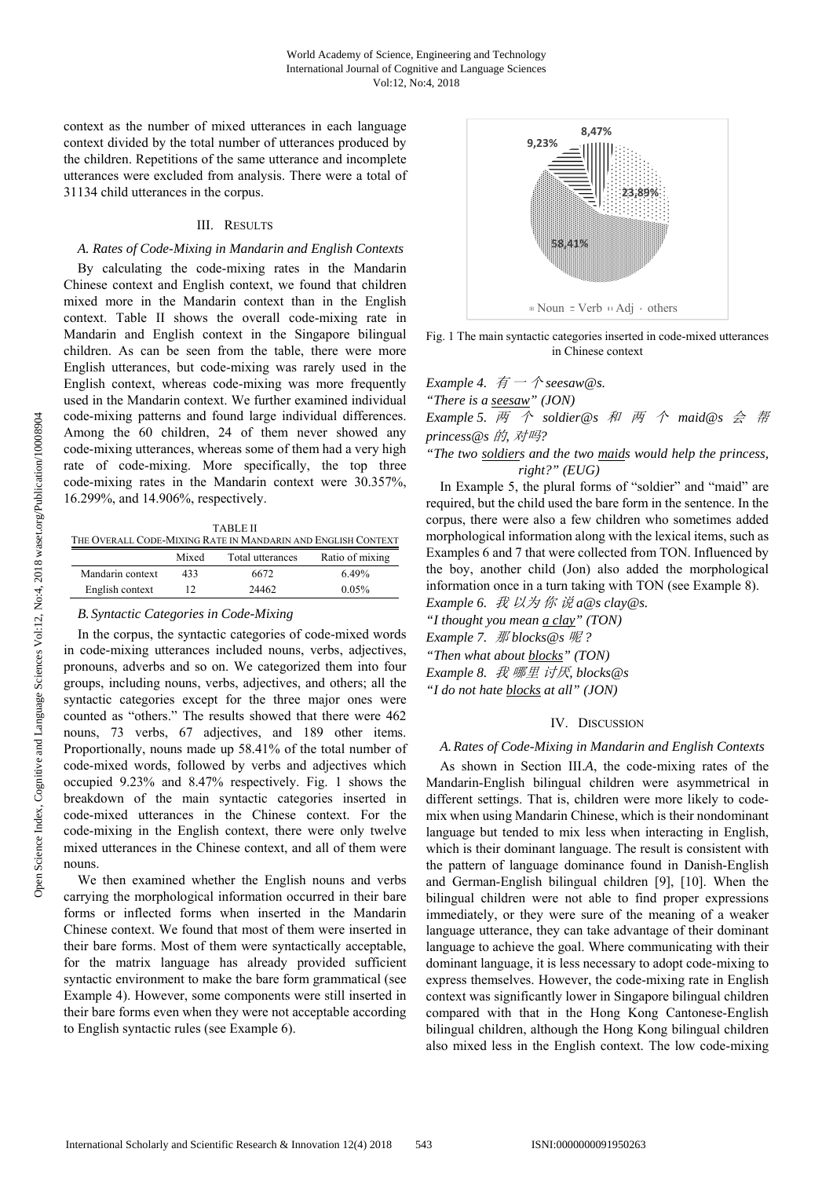context as the number of mixed utterances in each language context divided by the total number of utterances produced by the children. Repetitions of the same utterance and incomplete utterances were excluded from analysis. There were a total of 31134 child utterances in the corpus.

# III. RESULTS

### *A. Rates of Code-Mixing in Mandarin and English Contexts*

By calculating the code-mixing rates in the Mandarin Chinese context and English context, we found that children mixed more in the Mandarin context than in the English context. Table II shows the overall code-mixing rate in Mandarin and English context in the Singapore bilingual children. As can be seen from the table, there were more English utterances, but code-mixing was rarely used in the English context, whereas code-mixing was more frequently used in the Mandarin context. We further examined individual code-mixing patterns and found large individual differences. Among the 60 children, 24 of them never showed any code-mixing utterances, whereas some of them had a very high rate of code-mixing. More specifically, the top three code-mixing rates in the Mandarin context were 30.357%, 16.299%, and 14.906%, respectively.

TABLE II THE OVERALL CODE-MIXING RATE IN MANDARIN AND ENGLISH CONTEXT Mixed Total utterances Ratio of mixing Mandarin context 433 6672 6.49% English context 12 24462 0.05%

## *B. Syntactic Categories in Code-Mixing*

In the corpus, the syntactic categories of code-mixed words in code-mixing utterances included nouns, verbs, adjectives, pronouns, adverbs and so on. We categorized them into four groups, including nouns, verbs, adjectives, and others; all the syntactic categories except for the three major ones were counted as "others." The results showed that there were 462 nouns, 73 verbs, 67 adjectives, and 189 other items. Proportionally, nouns made up 58.41% of the total number of code-mixed words, followed by verbs and adjectives which occupied 9.23% and 8.47% respectively. Fig. 1 shows the breakdown of the main syntactic categories inserted in code-mixed utterances in the Chinese context. For the code-mixing in the English context, there were only twelve mixed utterances in the Chinese context, and all of them were nouns.

We then examined whether the English nouns and verbs carrying the morphological information occurred in their bare forms or inflected forms when inserted in the Mandarin Chinese context. We found that most of them were inserted in their bare forms. Most of them were syntactically acceptable, for the matrix language has already provided sufficient syntactic environment to make the bare form grammatical (see Example 4). However, some components were still inserted in their bare forms even when they were not acceptable according to English syntactic rules (see Example 6).



Fig. 1 The main syntactic categories inserted in code-mixed utterances in Chinese context

*Example 4.*  $\overline{f}$   $\overline{f}$   $\rightarrow$   $\hat{f}$  *seesaw@s.* 

*"There is a seesaw" (JON)* 

*Example 5.* 两 个 *soldier@s* 和 两 个 *maid@s* 会 帮 *princess@s* 的*,* 对吗*?* 

*"The two soldiers and the two maids would help the princess, right?" (EUG)* 

In Example 5, the plural forms of "soldier" and "maid" are required, but the child used the bare form in the sentence. In the corpus, there were also a few children who sometimes added morphological information along with the lexical items, such as Examples 6 and 7 that were collected from TON. Influenced by the boy, another child (Jon) also added the morphological information once in a turn taking with TON (see Example 8).

*Example 6.* 我 以为 你 说 *a@s clay@s. "I thought you mean a clay" (TON) Example 7.* 那 *blocks@s* 呢 *? "Then what about blocks" (TON) Example 8.* 我 哪里 讨厌*, blocks@s* 

*"I do not hate blocks at all" (JON)* 

# IV. DISCUSSION

# *A.Rates of Code-Mixing in Mandarin and English Contexts*

As shown in Section III.*A*, the code-mixing rates of the Mandarin-English bilingual children were asymmetrical in different settings. That is, children were more likely to codemix when using Mandarin Chinese, which is their nondominant language but tended to mix less when interacting in English, which is their dominant language. The result is consistent with the pattern of language dominance found in Danish-English and German-English bilingual children [9], [10]. When the bilingual children were not able to find proper expressions immediately, or they were sure of the meaning of a weaker language utterance, they can take advantage of their dominant language to achieve the goal. Where communicating with their dominant language, it is less necessary to adopt code-mixing to express themselves. However, the code-mixing rate in English context was significantly lower in Singapore bilingual children compared with that in the Hong Kong Cantonese-English bilingual children, although the Hong Kong bilingual children also mixed less in the English context. The low code-mixing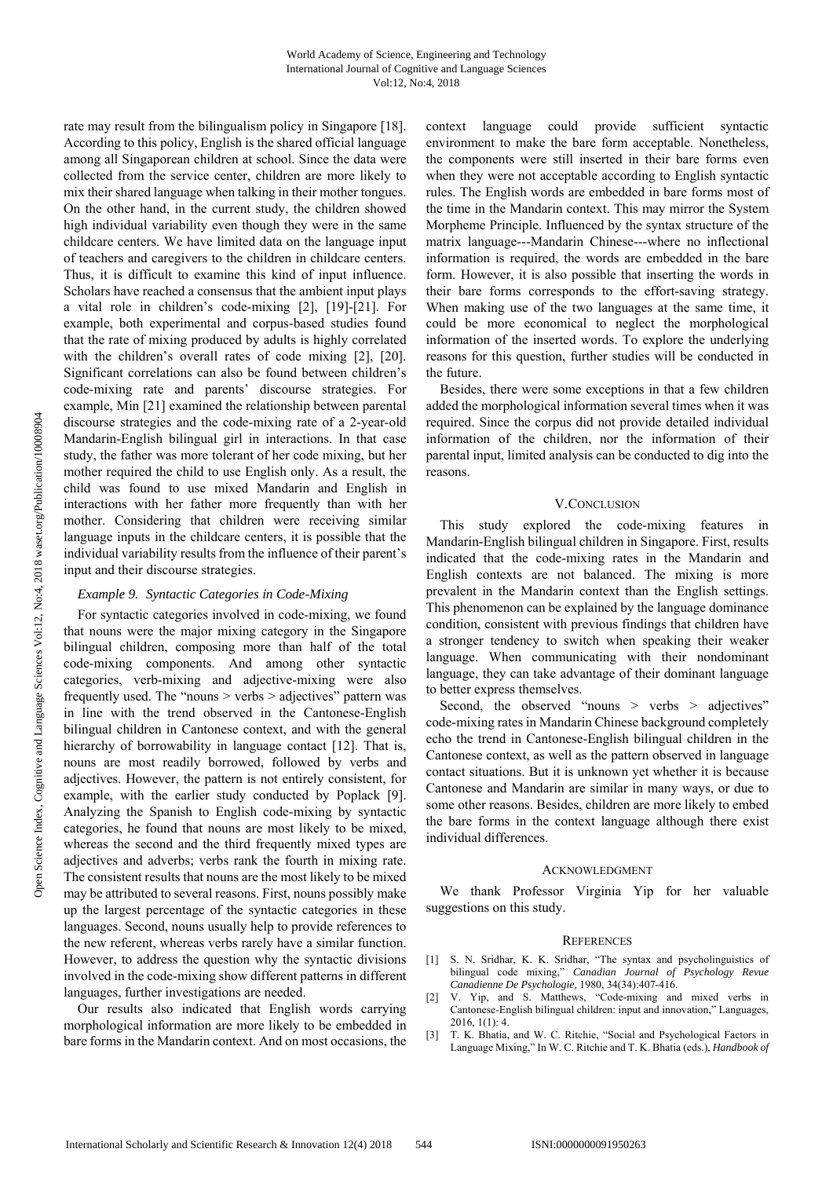rate may result from the bilingualism policy in Singapore [18]. According to this policy, English is the shared official language among all Singaporean children at school. Since the data were collected from the service center, children are more likely to mix their shared language when talking in their mother tongues. On the other hand, in the current study, the children showed high individual variability even though they were in the same childcare centers. We have limited data on the language input of teachers and caregivers to the children in childcare centers. Thus, it is difficult to examine this kind of input influence. Scholars have reached a consensus that the ambient input plays a vital role in children's code-mixing [2], [19]-[21]. For example, both experimental and corpus-based studies found that the rate of mixing produced by adults is highly correlated with the children's overall rates of code mixing [2], [20]. Significant correlations can also be found between children's code-mixing rate and parents' discourse strategies. For example, Min [21] examined the relationship between parental discourse strategies and the code-mixing rate of a 2-year-old Mandarin-English bilingual girl in interactions. In that case study, the father was more tolerant of her code mixing, but her mother required the child to use English only. As a result, the child was found to use mixed Mandarin and English in interactions with her father more frequently than with her mother. Considering that children were receiving similar language inputs in the childcare centers, it is possible that the individual variability results from the influence of their parent's input and their discourse strategies.

# *Example 9. Syntactic Categories in Code-Mixing*

For syntactic categories involved in code-mixing, we found that nouns were the major mixing category in the Singapore bilingual children, composing more than half of the total code-mixing components. And among other syntactic categories, verb-mixing and adjective-mixing were also frequently used. The "nouns > verbs > adjectives" pattern was in line with the trend observed in the Cantonese-English bilingual children in Cantonese context, and with the general hierarchy of borrowability in language contact [12]. That is, nouns are most readily borrowed, followed by verbs and adjectives. However, the pattern is not entirely consistent, for example, with the earlier study conducted by Poplack [9]. Analyzing the Spanish to English code-mixing by syntactic categories, he found that nouns are most likely to be mixed, whereas the second and the third frequently mixed types are adjectives and adverbs; verbs rank the fourth in mixing rate. The consistent results that nouns are the most likely to be mixed may be attributed to several reasons. First, nouns possibly make up the largest percentage of the syntactic categories in these languages. Second, nouns usually help to provide references to the new referent, whereas verbs rarely have a similar function. However, to address the question why the syntactic divisions involved in the code-mixing show different patterns in different languages, further investigations are needed.

Our results also indicated that English words carrying morphological information are more likely to be embedded in bare forms in the Mandarin context. And on most occasions, the context language could provide sufficient syntactic environment to make the bare form acceptable. Nonetheless, the components were still inserted in their bare forms even when they were not acceptable according to English syntactic rules. The English words are embedded in bare forms most of the time in the Mandarin context. This may mirror the System Morpheme Principle. Influenced by the syntax structure of the matrix language---Mandarin Chinese---where no inflectional information is required, the words are embedded in the bare form. However, it is also possible that inserting the words in their bare forms corresponds to the effort-saving strategy. When making use of the two languages at the same time, it could be more economical to neglect the morphological information of the inserted words. To explore the underlying reasons for this question, further studies will be conducted in the future.

Besides, there were some exceptions in that a few children added the morphological information several times when it was required. Since the corpus did not provide detailed individual information of the children, nor the information of their parental input, limited analysis can be conducted to dig into the reasons.

## V.CONCLUSION

This study explored the code-mixing features in Mandarin-English bilingual children in Singapore. First, results indicated that the code-mixing rates in the Mandarin and English contexts are not balanced. The mixing is more prevalent in the Mandarin context than the English settings. This phenomenon can be explained by the language dominance condition, consistent with previous findings that children have a stronger tendency to switch when speaking their weaker language. When communicating with their nondominant language, they can take advantage of their dominant language to better express themselves.

Second, the observed "nouns > verbs > adjectives" code-mixing rates in Mandarin Chinese background completely echo the trend in Cantonese-English bilingual children in the Cantonese context, as well as the pattern observed in language contact situations. But it is unknown yet whether it is because Cantonese and Mandarin are similar in many ways, or due to some other reasons. Besides, children are more likely to embed the bare forms in the context language although there exist individual differences.

#### ACKNOWLEDGMENT

We thank Professor Virginia Yip for her valuable suggestions on this study.

#### **REFERENCES**

- [1] S. N. Sridhar, K. K. Sridhar, "The syntax and psycholinguistics of bilingual code mixing," *Canadian Journal of Psychology Revue Canadienne De Psychologie,* 1980, 34(34):407-416.
- [2] V. Yip, and S. Matthews, "Code-mixing and mixed verbs in Cantonese-English bilingual children: input and innovation," Languages,  $2016, 1(1) \cdot 4$
- [3] T. K. Bhatia, and W. C. Ritchie, "Social and Psychological Factors in Language Mixing," In W. C. Ritchie and T. K. Bhatia (eds.), *Handbook of*